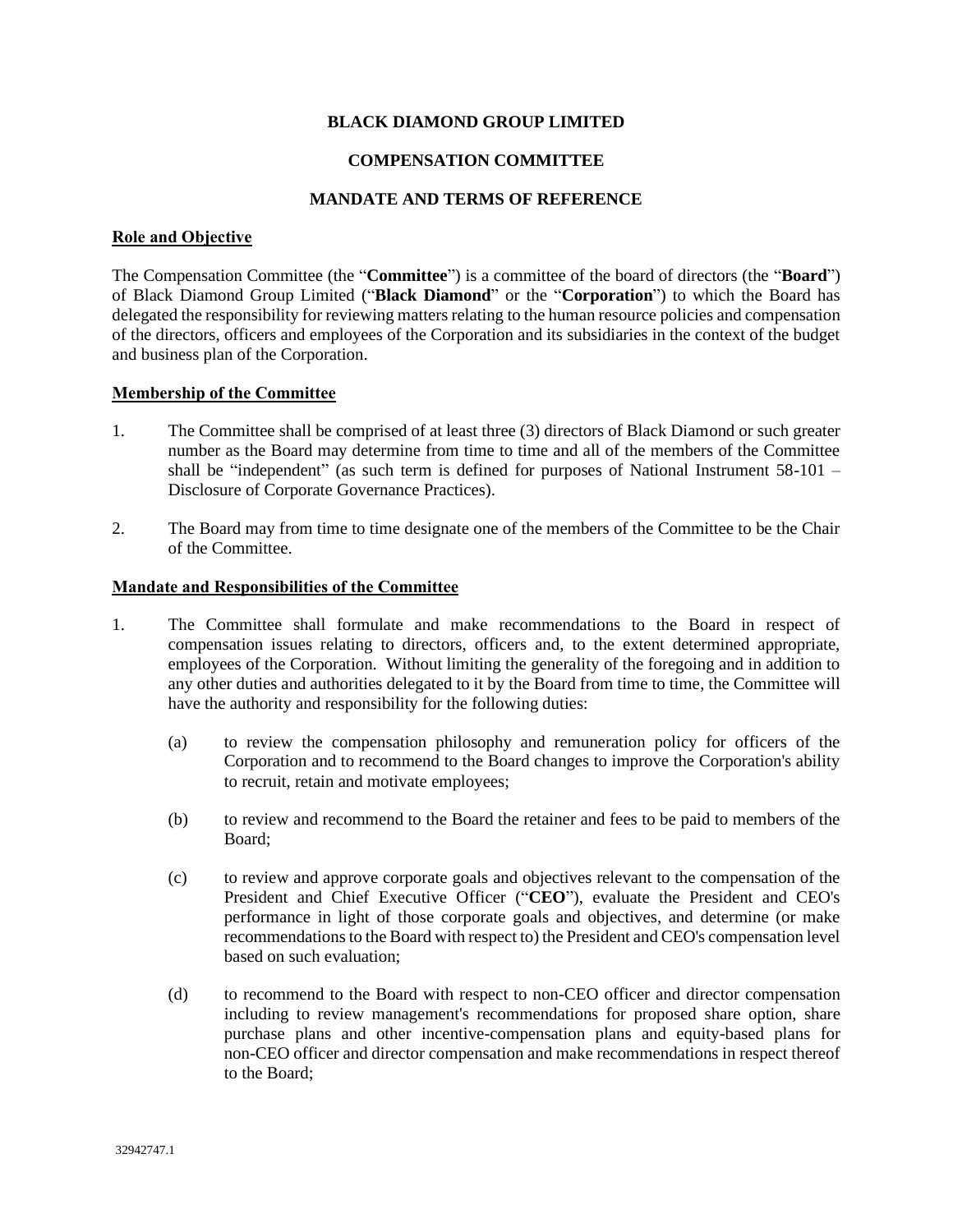## **BLACK DIAMOND GROUP LIMITED**

### **COMPENSATION COMMITTEE**

## **MANDATE AND TERMS OF REFERENCE**

### **Role and Objective**

The Compensation Committee (the "**Committee**") is a committee of the board of directors (the "**Board**") of Black Diamond Group Limited ("**Black Diamond**" or the "**Corporation**") to which the Board has delegated the responsibility for reviewing matters relating to the human resource policies and compensation of the directors, officers and employees of the Corporation and its subsidiaries in the context of the budget and business plan of the Corporation.

## **Membership of the Committee**

- 1. The Committee shall be comprised of at least three (3) directors of Black Diamond or such greater number as the Board may determine from time to time and all of the members of the Committee shall be "independent" (as such term is defined for purposes of National Instrument 58-101 – Disclosure of Corporate Governance Practices).
- 2. The Board may from time to time designate one of the members of the Committee to be the Chair of the Committee.

#### **Mandate and Responsibilities of the Committee**

- 1. The Committee shall formulate and make recommendations to the Board in respect of compensation issues relating to directors, officers and, to the extent determined appropriate, employees of the Corporation. Without limiting the generality of the foregoing and in addition to any other duties and authorities delegated to it by the Board from time to time, the Committee will have the authority and responsibility for the following duties:
	- (a) to review the compensation philosophy and remuneration policy for officers of the Corporation and to recommend to the Board changes to improve the Corporation's ability to recruit, retain and motivate employees;
	- (b) to review and recommend to the Board the retainer and fees to be paid to members of the Board;
	- (c) to review and approve corporate goals and objectives relevant to the compensation of the President and Chief Executive Officer ("**CEO**"), evaluate the President and CEO's performance in light of those corporate goals and objectives, and determine (or make recommendations to the Board with respect to) the President and CEO's compensation level based on such evaluation;
	- (d) to recommend to the Board with respect to non-CEO officer and director compensation including to review management's recommendations for proposed share option, share purchase plans and other incentive-compensation plans and equity-based plans for non-CEO officer and director compensation and make recommendations in respect thereof to the Board;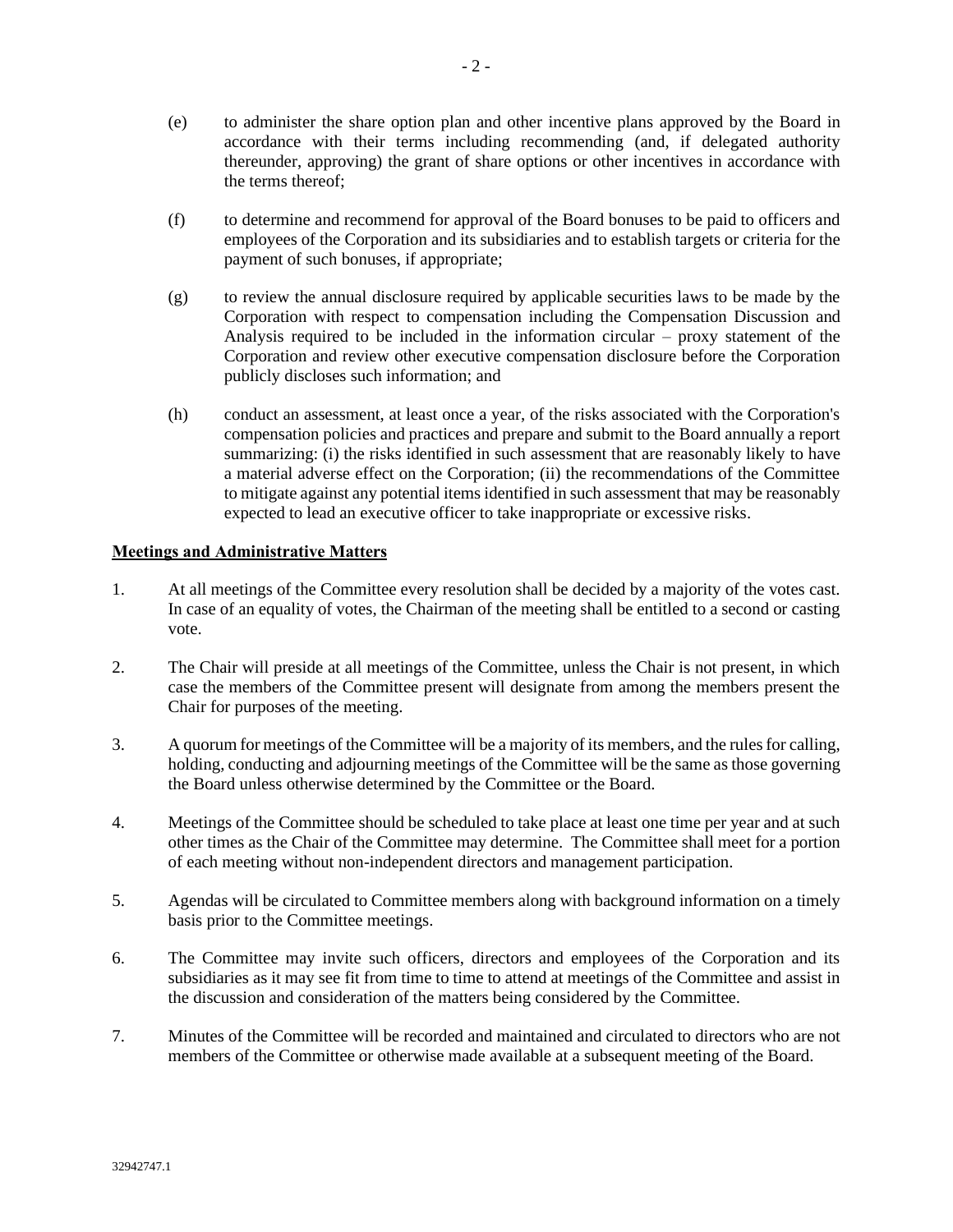- (e) to administer the share option plan and other incentive plans approved by the Board in accordance with their terms including recommending (and, if delegated authority thereunder, approving) the grant of share options or other incentives in accordance with the terms thereof;
- (f) to determine and recommend for approval of the Board bonuses to be paid to officers and employees of the Corporation and its subsidiaries and to establish targets or criteria for the payment of such bonuses, if appropriate;
- (g) to review the annual disclosure required by applicable securities laws to be made by the Corporation with respect to compensation including the Compensation Discussion and Analysis required to be included in the information circular – proxy statement of the Corporation and review other executive compensation disclosure before the Corporation publicly discloses such information; and
- (h) conduct an assessment, at least once a year, of the risks associated with the Corporation's compensation policies and practices and prepare and submit to the Board annually a report summarizing: (i) the risks identified in such assessment that are reasonably likely to have a material adverse effect on the Corporation; (ii) the recommendations of the Committee to mitigate against any potential items identified in such assessment that may be reasonably expected to lead an executive officer to take inappropriate or excessive risks.

# **Meetings and Administrative Matters**

- 1. At all meetings of the Committee every resolution shall be decided by a majority of the votes cast. In case of an equality of votes, the Chairman of the meeting shall be entitled to a second or casting vote.
- 2. The Chair will preside at all meetings of the Committee, unless the Chair is not present, in which case the members of the Committee present will designate from among the members present the Chair for purposes of the meeting.
- 3. A quorum for meetings of the Committee will be a majority of its members, and the rules for calling, holding, conducting and adjourning meetings of the Committee will be the same as those governing the Board unless otherwise determined by the Committee or the Board.
- 4. Meetings of the Committee should be scheduled to take place at least one time per year and at such other times as the Chair of the Committee may determine. The Committee shall meet for a portion of each meeting without non-independent directors and management participation.
- 5. Agendas will be circulated to Committee members along with background information on a timely basis prior to the Committee meetings.
- 6. The Committee may invite such officers, directors and employees of the Corporation and its subsidiaries as it may see fit from time to time to attend at meetings of the Committee and assist in the discussion and consideration of the matters being considered by the Committee.
- 7. Minutes of the Committee will be recorded and maintained and circulated to directors who are not members of the Committee or otherwise made available at a subsequent meeting of the Board.